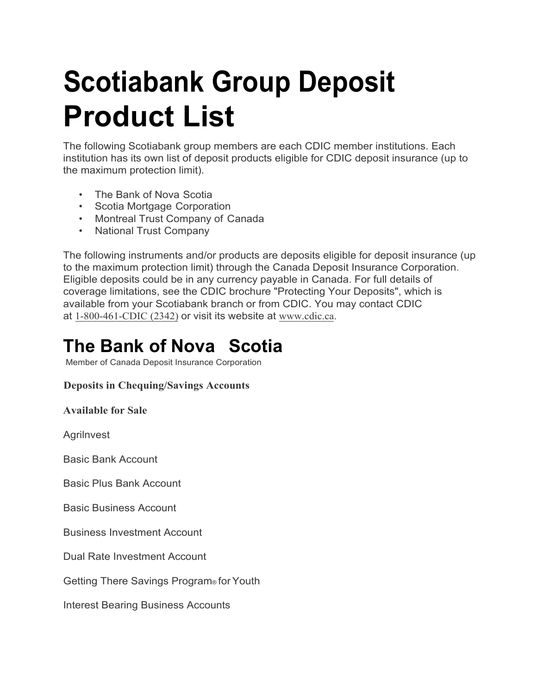# **Scotiabank Group Deposit Product List**

The following Scotiabank group members are each CDIC member institutions. Each institution has its own list of deposit products eligible for CDIC deposit insurance (up to the maximum protection limit).

- The Bank of Nova Scotia
- Scotia Mortgage Corporation
- Montreal Trust Company of Canada
- National Trust Company

The following instruments and/or products are deposits eligible for deposit insurance (up to the maximum protection limit) through the Canada Deposit Insurance Corporation. Eligible deposits could be in any currency payable in Canada. For full details of coverage limitations, see the CDIC brochure "Protecting Your Deposits", which is available from your Scotiabank branch or from CDIC. You may contact CDIC at 1-800-461-CDIC (2342) or visit its website at [www.cdic.ca.](http://www.cdic.ca/)

## **The Bank of Nova Scotia**

Member of Canada Deposit Insurance Corporation

#### **Deposits in Chequing/Savings Accounts**

**Available for Sale**

**Agrilnvest** 

Basic Bank Account

Basic Plus Bank Account

Basic Business Account

Business Investment Account

Dual Rate Investment Account

Getting There Savings Program® for Youth

Interest Bearing Business Accounts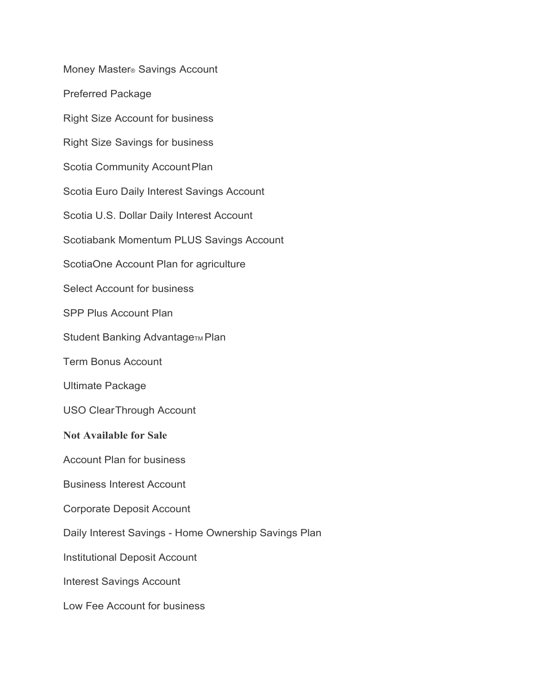Money Master® Savings Account Preferred Package Right Size Account for business Right Size Savings for business Scotia Community Account Plan Scotia Euro Daily Interest Savings Account Scotia U.S. Dollar Daily Interest Account Scotiabank Momentum PLUS Savings Account ScotiaOne Account Plan for agriculture Select Account for business SPP Plus Account Plan Student Banking AdvantageTM Plan Term Bonus Account Ultimate Package USO ClearThrough Account **Not Available for Sale** Account Plan for business Business Interest Account Corporate Deposit Account Daily Interest Savings - Home Ownership Savings Plan Institutional Deposit Account Interest Savings Account Low Fee Account for business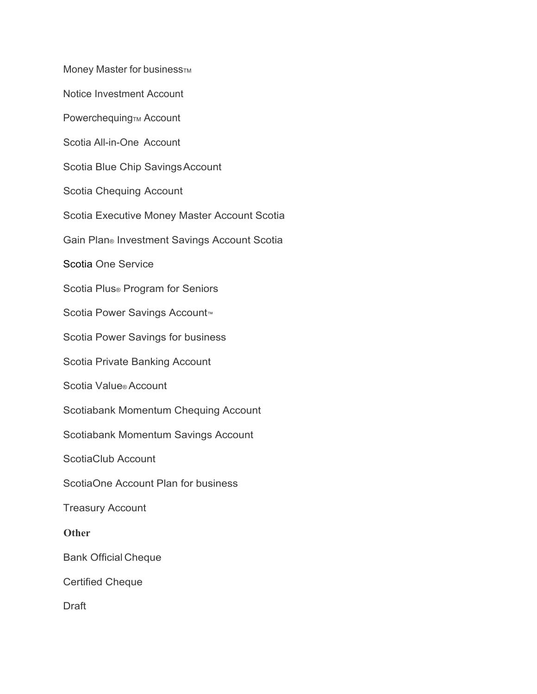Money Master for business<sub>TM</sub> Notice Investment Account Powerchequing<sub>TM</sub> Account Scotia All-in-One Account Scotia Blue Chip SavingsAccount Scotia Chequing Account Scotia Executive Money Master Account Scotia Gain Plan® Investment Savings Account Scotia Scotia One Service Scotia Plus® Program for Seniors Scotia Power Savings Account<sup>™</sup> Scotia Power Savings for business Scotia Private Banking Account Scotia Value® Account Scotiabank Momentum Chequing Account Scotiabank Momentum Savings Account ScotiaClub Account ScotiaOne Account Plan for business Treasury Account **Other** Bank Official Cheque Certified Cheque **Draft**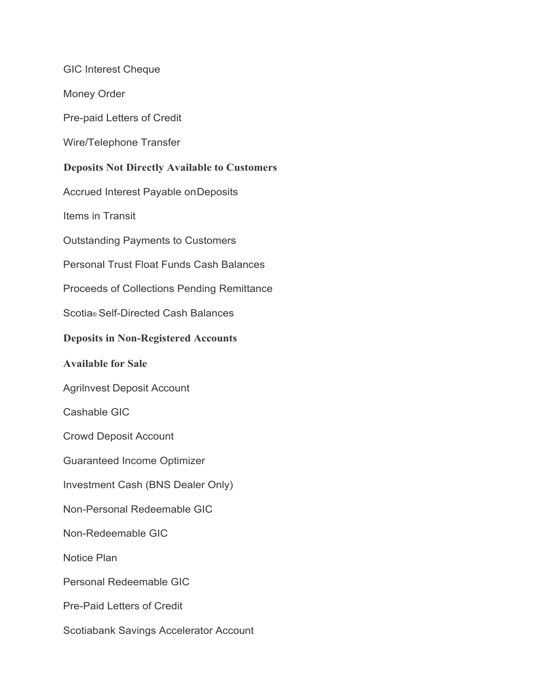GIC Interest Cheque Money Order Pre-paid Letters of Credit Wire/Telephone Transfer **Deposits Not Directly Available to Customers** Accrued Interest Payable onDeposits Items in Transit Outstanding Payments to Customers Personal Trust Float Funds Cash Balances Proceeds of Collections Pending Remittance Scotia® Self-Directed Cash Balances **Deposits in Non-Registered Accounts Available for Sale** Agrilnvest Deposit Account Cashable GIC Crowd Deposit Account Guaranteed Income Optimizer Investment Cash (BNS Dealer Only) Non-Personal Redeemable GIC Non-Redeemable GIC Notice Plan Personal Redeemable GIC Pre-Paid Letters of Credit Scotiabank Savings Accelerator Account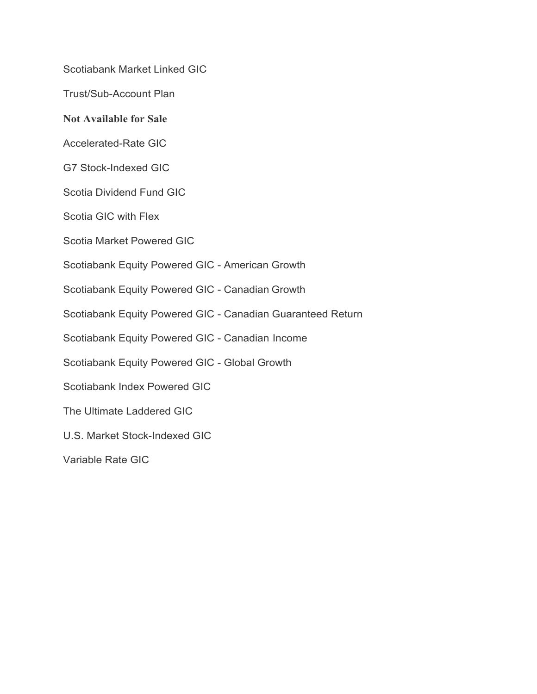Scotiabank Market Linked GIC

Trust/Sub-Account Plan

**Not Available for Sale** 

Accelerated-Rate GIC

G7 Stock-Indexed GIC

Scotia Dividend Fund GIC

Scotia GIC with Flex

Scotia Market Powered GIC

Scotiabank Equity Powered GIC - American Growth

Scotiabank Equity Powered GIC - Canadian Growth

Scotiabank Equity Powered GIC - Canadian Guaranteed Return

Scotiabank Equity Powered GIC - Canadian Income

Scotiabank Equity Powered GIC - Global Growth

Scotiabank Index Powered GIC

The Ultimate Laddered GIC

U.S. Market Stock-Indexed GIC

Variable Rate GIC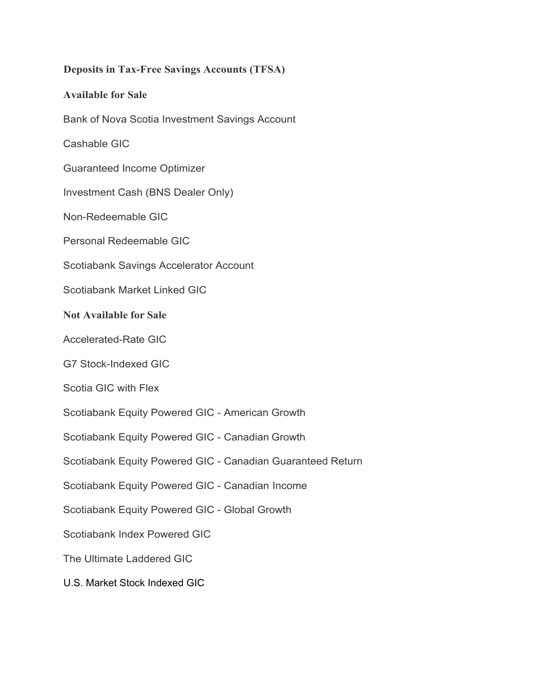# **Deposits in Tax-Free Savings Accounts (TFSA) Available for Sale** Bank of Nova Scotia Investment Savings Account Cashable GIC Guaranteed Income Optimizer Investment Cash (BNS Dealer Only) Non-Redeemable GIC Personal Redeemable GIC Scotiabank Savings Accelerator Account Scotiabank Market Linked GIC **Not Available for Sale** Accelerated-Rate GIC G7 Stock-Indexed GIC Scotia GIC with Flex Scotiabank Equity Powered GIC - American Growth Scotiabank Equity Powered GIC - Canadian Growth Scotiabank Equity Powered GIC - Canadian Guaranteed Return Scotiabank Equity Powered GIC - Canadian Income Scotiabank Equity Powered GIC - Global Growth Scotiabank Index Powered GIC The Ultimate Laddered GIC U.S. Market Stock Indexed GIC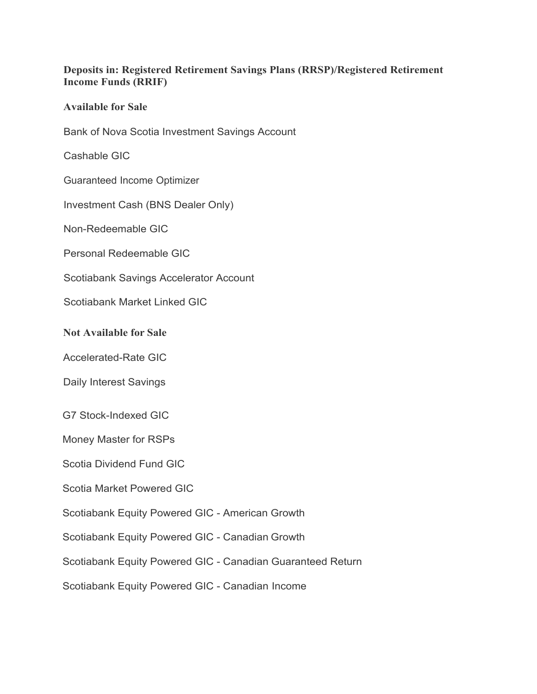#### **Deposits in: Registered Retirement Savings Plans (RRSP)/Registered Retirement Income Funds (RRIF)**

#### **Available for Sale**

Bank of Nova Scotia Investment Savings Account

Cashable GIC

Guaranteed Income Optimizer

Investment Cash (BNS Dealer Only)

Non-Redeemable GIC

Personal Redeemable GIC

Scotiabank Savings Accelerator Account

Scotiabank Market Linked GIC

#### **Not Available for Sale**

Accelerated-Rate GIC

Daily Interest Savings

G7 Stock-Indexed GIC

Money Master for RSPs

Scotia Dividend Fund GIC

Scotia Market Powered GIC

Scotiabank Equity Powered GIC - American Growth

Scotiabank Equity Powered GIC - Canadian Growth

Scotiabank Equity Powered GIC - Canadian Guaranteed Return

Scotiabank Equity Powered GIC - Canadian Income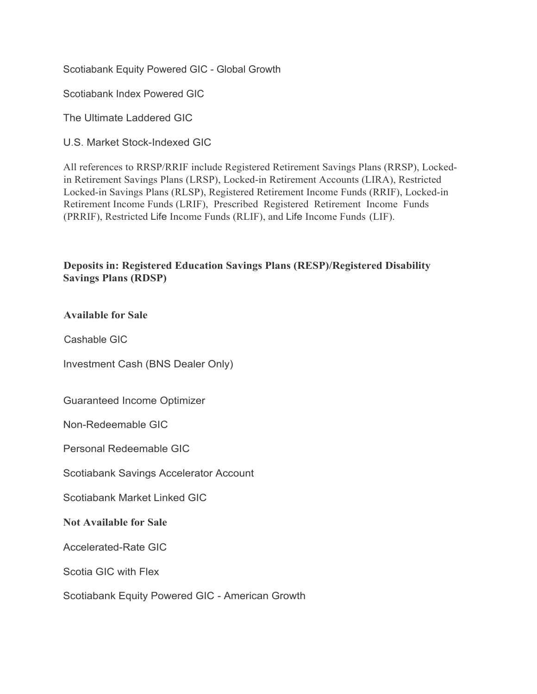Scotiabank Equity Powered GIC - Global Growth

Scotiabank Index Powered GIC

The Ultimate Laddered GIC

U.S. Market Stock-Indexed GIC

All references to RRSP/RRIF include Registered Retirement Savings Plans (RRSP), Lockedin Retirement Savings Plans (LRSP), Locked-in Retirement Accounts (LIRA), Restricted Locked-in Savings Plans (RLSP), Registered Retirement Income Funds (RRIF), Locked-in Retirement Income Funds (LRIF), Prescribed Registered Retirement Income Funds (PRRIF), Restricted Life Income Funds (RLIF), and Life Income Funds (LIF).

#### **Deposits in: Registered Education Savings Plans (RESP)/Registered Disability Savings Plans (RDSP)**

**Available for Sale**

Cashable GIC

Investment Cash (BNS Dealer Only)

Guaranteed Income Optimizer

Non-Redeemable GIC

Personal Redeemable GIC

Scotiabank Savings Accelerator Account

Scotiabank Market Linked GIC

**Not Available for Sale**

Accelerated-Rate GIC

Scotia GIC with Flex

Scotiabank Equity Powered GIC - American Growth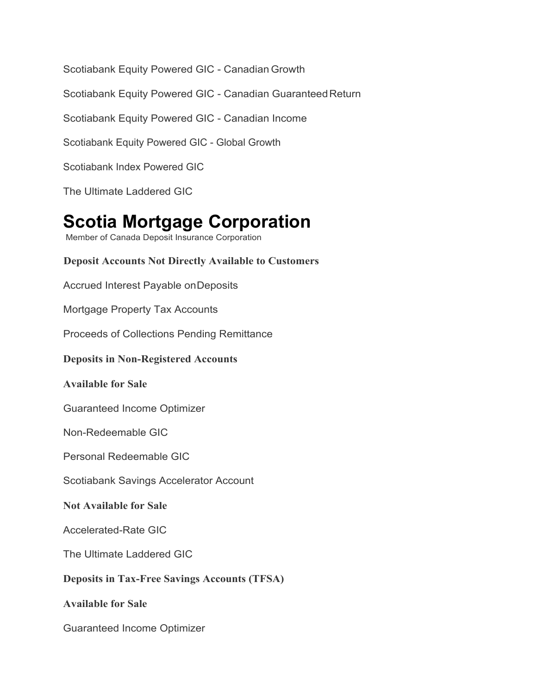Scotiabank Equity Powered GIC - Canadian Growth

Scotiabank Equity Powered GIC - Canadian Guaranteed Return

Scotiabank Equity Powered GIC - Canadian Income

Scotiabank Equity Powered GIC - Global Growth

Scotiabank Index Powered GIC

The Ultimate Laddered GIC

### **Scotia Mortgage Corporation**

Member of Canada Deposit Insurance Corporation

**Deposit Accounts Not Directly Available to Customers** Accrued Interest Payable onDeposits Mortgage Property Tax Accounts Proceeds of Collections Pending Remittance **Deposits in Non-Registered Accounts** 

#### **Available for Sale**

Guaranteed Income Optimizer

Non-Redeemable GIC

Personal Redeemable GIC

Scotiabank Savings Accelerator Account

**Not Available for Sale**

Accelerated-Rate GIC

The Ultimate Laddered GIC

**Deposits in Tax-Free Savings Accounts (TFSA)** 

**Available for Sale**

Guaranteed Income Optimizer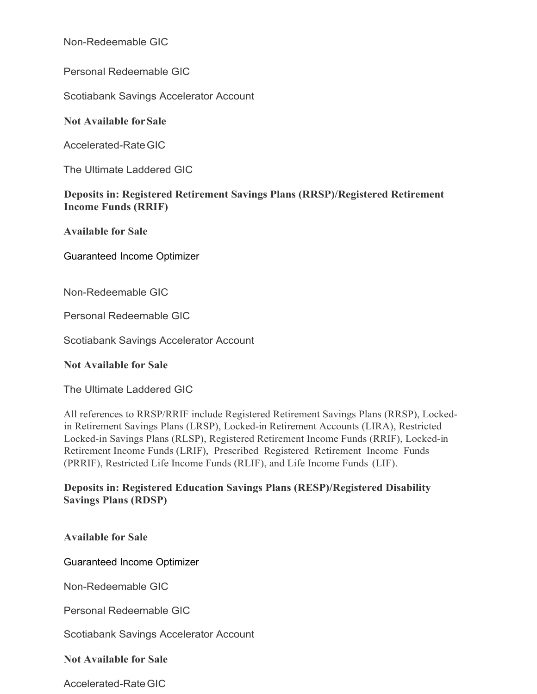Non-Redeemable GIC

Personal Redeemable GIC

Scotiabank Savings Accelerator Account

**Not Available forSale**

Accelerated-RateGIC

The Ultimate Laddered GIC

#### **Deposits in: Registered Retirement Savings Plans (RRSP)/Registered Retirement Income Funds (RRIF)**

**Available for Sale**

Guaranteed Income Optimizer

Non-Redeemable GIC

Personal Redeemable GIC

Scotiabank Savings Accelerator Account

**Not Available for Sale**

The Ultimate Laddered GIC

All references to RRSP/RRIF include Registered Retirement Savings Plans (RRSP), Lockedin Retirement Savings Plans (LRSP), Locked-in Retirement Accounts (LIRA), Restricted Locked-in Savings Plans (RLSP), Registered Retirement Income Funds (RRIF), Locked-in Retirement Income Funds (LRIF), Prescribed Registered Retirement Income Funds (PRRIF), Restricted Life Income Funds (RLIF), and Life Income Funds (LIF).

#### **Deposits in: Registered Education Savings Plans (RESP)/Registered Disability Savings Plans (RDSP)**

**Available for Sale**

Guaranteed Income Optimizer

Non-Redeemable GIC

Personal Redeemable GIC

Scotiabank Savings Accelerator Account

**Not Available for Sale**

Accelerated-RateGIC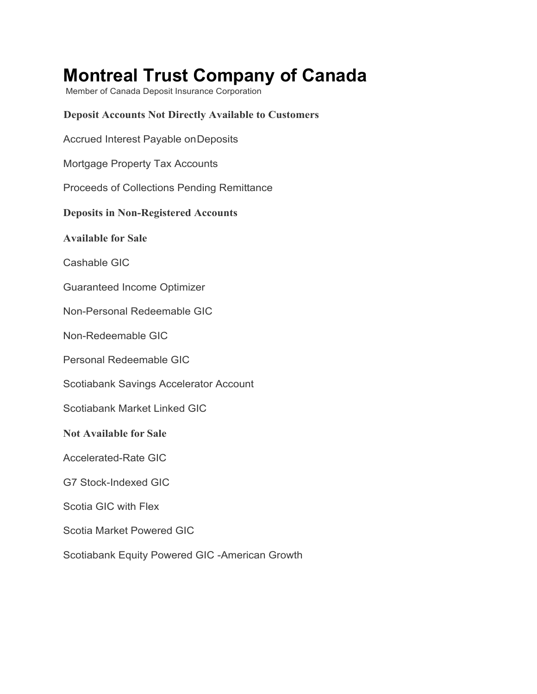## **Montreal Trust Company of Canada**

Member of Canada Deposit Insurance Corporation

#### **Deposit Accounts Not Directly Available to Customers**

Accrued Interest Payable onDeposits

Mortgage Property Tax Accounts

Proceeds of Collections Pending Remittance

#### **Deposits in Non-Registered Accounts**

**Available for Sale**

Cashable GIC

Guaranteed Income Optimizer

Non-Personal Redeemable GIC

Non-Redeemable GIC

Personal Redeemable GIC

Scotiabank Savings Accelerator Account

Scotiabank Market Linked GIC

**Not Available for Sale**

Accelerated-Rate GIC

G7 Stock-Indexed GIC

Scotia GIC with Flex

Scotia Market Powered GIC

Scotiabank Equity Powered GIC -American Growth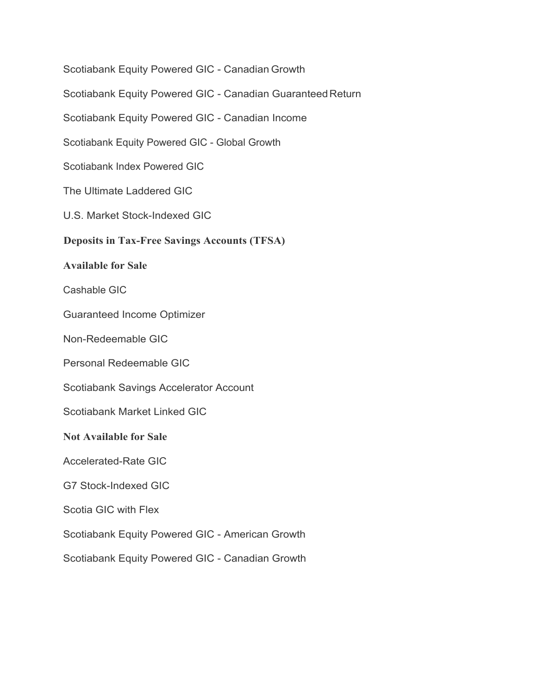Scotiabank Equity Powered GIC - Canadian Growth Scotiabank Equity Powered GIC - Canadian Guaranteed Return Scotiabank Equity Powered GIC - Canadian Income Scotiabank Equity Powered GIC - Global Growth Scotiabank Index Powered GIC The Ultimate Laddered GIC U.S. Market Stock-Indexed GIC **Deposits in Tax-Free Savings Accounts (TFSA) Available for Sale** Cashable GIC Guaranteed Income Optimizer Non-Redeemable GIC Personal Redeemable GIC Scotiabank Savings Accelerator Account Scotiabank Market Linked GIC **Not Available for Sale** Accelerated-Rate GIC G7 Stock-Indexed GIC Scotia GIC with Flex Scotiabank Equity Powered GIC - American Growth Scotiabank Equity Powered GIC - Canadian Growth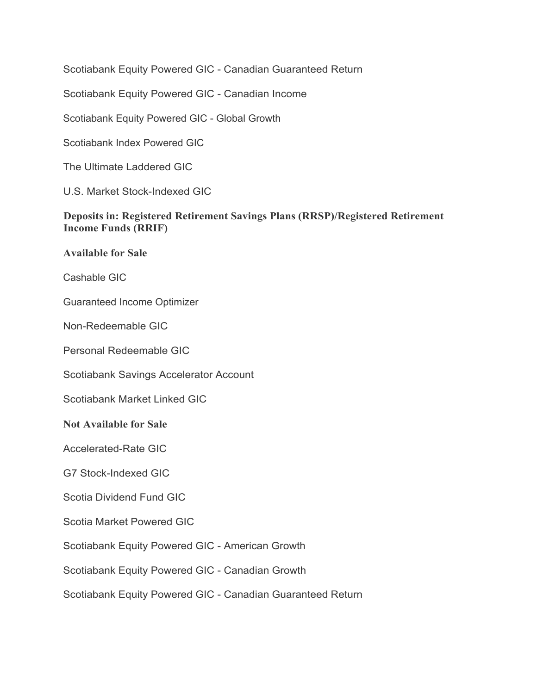Scotiabank Equity Powered GIC - Canadian Guaranteed Return

Scotiabank Equity Powered GIC - Canadian Income

Scotiabank Equity Powered GIC - Global Growth

Scotiabank Index Powered GIC

The Ultimate Laddered GIC

U.S. Market Stock-Indexed GIC

#### **Deposits in: Registered Retirement Savings Plans (RRSP)/Registered Retirement Income Funds (RRIF)**

**Available for Sale**

Cashable GIC

Guaranteed Income Optimizer

Non-Redeemable GIC

Personal Redeemable GIC

Scotiabank Savings Accelerator Account

Scotiabank Market Linked GIC

#### **Not Available for Sale**

Accelerated-Rate GIC

G7 Stock-Indexed GIC

Scotia Dividend Fund GIC

Scotia Market Powered GIC

Scotiabank Equity Powered GIC - American Growth

Scotiabank Equity Powered GIC - Canadian Growth

Scotiabank Equity Powered GIC - Canadian Guaranteed Return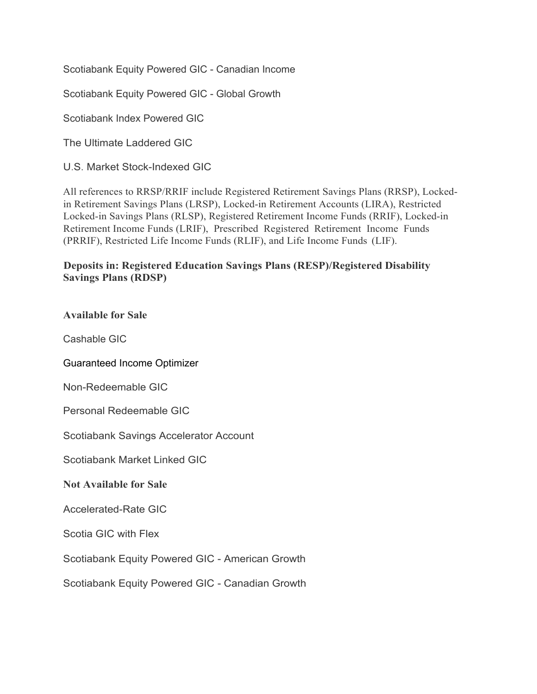Scotiabank Equity Powered GIC - Canadian Income

Scotiabank Equity Powered GIC - Global Growth

Scotiabank Index Powered GIC

The Ultimate Laddered GIC

U.S. Market Stock-Indexed GIC

All references to RRSP/RRIF include Registered Retirement Savings Plans (RRSP), Lockedin Retirement Savings Plans (LRSP), Locked-in Retirement Accounts (LIRA), Restricted Locked-in Savings Plans (RLSP), Registered Retirement Income Funds (RRIF), Locked-in Retirement Income Funds (LRIF), Prescribed Registered Retirement Income Funds (PRRIF), Restricted Life Income Funds (RLIF), and Life Income Funds (LIF).

#### **Deposits in: Registered Education Savings Plans (RESP)/Registered Disability Savings Plans (RDSP)**

| <b>Available for Sale</b>                       |
|-------------------------------------------------|
| Cashable GIC                                    |
| <b>Guaranteed Income Optimizer</b>              |
| Non-Redeemable GIC                              |
| <b>Personal Redeemable GIC</b>                  |
| Scotiabank Savings Accelerator Account          |
| Scotiabank Market Linked GIC                    |
| <b>Not Available for Sale</b>                   |
| <b>Accelerated-Rate GIC</b>                     |
| <b>Scotia GIC with Flex</b>                     |
| Scotiabank Equity Powered GIC - American Growth |
| Scotiabank Equity Powered GIC - Canadian Growth |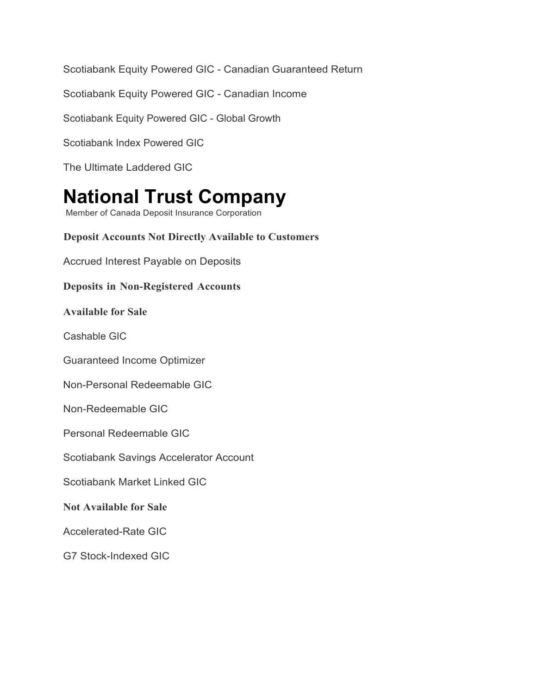Scotiabank Equity Powered GIC - Canadian Guaranteed Return

Scotiabank Equity Powered GIC - Canadian Income

Scotiabank Equity Powered GIC - Global Growth

Scotiabank Index Powered GIC

The Ultimate Laddered GIC

# **National Trust Company**

Member of Canada Deposit Insurance Corporation

**Deposit Accounts Not Directly Available to Customers** Accrued Interest Payable on Deposits **Deposits in Non-Registered Accounts Available for Sale** Cashable GIC Guaranteed Income Optimizer Non-Personal Redeemable GIC Non-Redeemable GIC Personal Redeemable GIC Scotiabank Savings Accelerator Account Scotiabank Market Linked GIC **Not Available for Sale** Accelerated-Rate GIC G7 Stock-Indexed GIC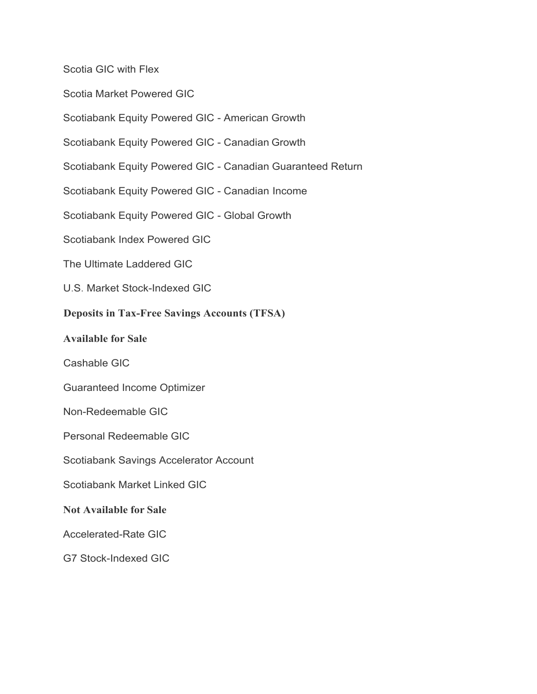Scotia GIC with Flex

Scotia Market Powered GIC

Scotiabank Equity Powered GIC - American Growth

Scotiabank Equity Powered GIC - Canadian Growth

Scotiabank Equity Powered GIC - Canadian Guaranteed Return

Scotiabank Equity Powered GIC - Canadian Income

Scotiabank Equity Powered GIC - Global Growth

Scotiabank Index Powered GIC

The Ultimate Laddered GIC

U.S. Market Stock-Indexed GIC

#### **Deposits in Tax-Free Savings Accounts (TFSA)**

#### **Available for Sale**

Cashable GIC

Guaranteed Income Optimizer

Non-Redeemable GIC

Personal Redeemable GIC

Scotiabank Savings Accelerator Account

Scotiabank Market Linked GIC

#### **Not Available for Sale**

Accelerated-Rate GIC

G7 Stock-Indexed GIC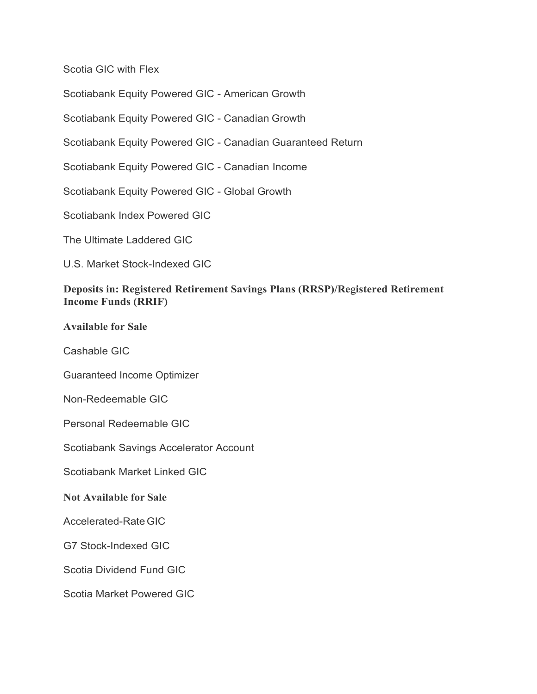Scotia GIC with Flex

Scotiabank Equity Powered GIC - American Growth

Scotiabank Equity Powered GIC - Canadian Growth

Scotiabank Equity Powered GIC - Canadian Guaranteed Return

Scotiabank Equity Powered GIC - Canadian Income

Scotiabank Equity Powered GIC - Global Growth

Scotiabank Index Powered GIC

The Ultimate Laddered GIC

U.S. Market Stock-Indexed GIC

#### **Deposits in: Registered Retirement Savings Plans (RRSP)/Registered Retirement Income Funds (RRIF)**

#### **Available for Sale**

Cashable GIC

Guaranteed Income Optimizer

Non-Redeemable GIC

Personal Redeemable GIC

Scotiabank Savings Accelerator Account

Scotiabank Market Linked GIC

#### **Not Available for Sale**

Accelerated-RateGIC

G7 Stock-Indexed GIC

Scotia Dividend Fund GIC

Scotia Market Powered GIC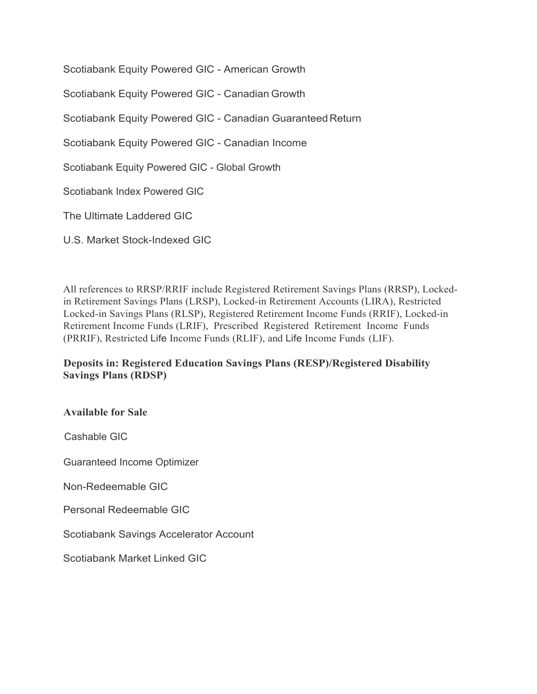Scotiabank Equity Powered GIC - American Growth Scotiabank Equity Powered GIC - Canadian Growth Scotiabank Equity Powered GIC - Canadian Guaranteed Return Scotiabank Equity Powered GIC - Canadian Income Scotiabank Equity Powered GIC - Global Growth Scotiabank Index Powered GIC The Ultimate Laddered GIC U.S. Market Stock-Indexed GIC

All references to RRSP/RRIF include Registered Retirement Savings Plans (RRSP), Lockedin Retirement Savings Plans (LRSP), Locked-in Retirement Accounts (LIRA), Restricted Locked-in Savings Plans (RLSP), Registered Retirement Income Funds (RRIF), Locked-in Retirement Income Funds (LRIF), Prescribed Registered Retirement Income Funds (PRRIF), Restricted Life Income Funds (RLIF), and Life Income Funds (LIF).

#### **Deposits in: Registered Education Savings Plans (RESP)/Registered Disability Savings Plans (RDSP)**

**Available for Sale**

Cashable GIC

Guaranteed Income Optimizer

Non-Redeemable GIC

Personal Redeemable GIC

Scotiabank Savings Accelerator Account

Scotiabank Market Linked GIC